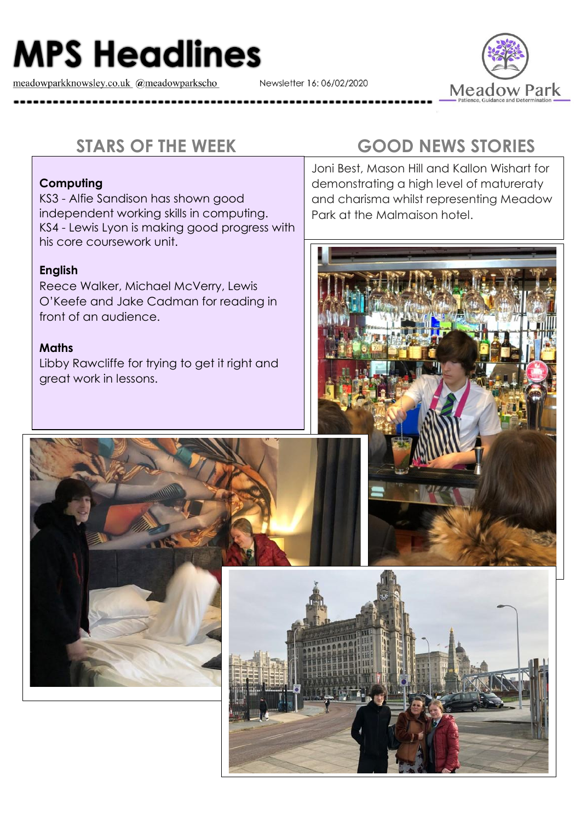# **MPS Headlines**

meadowparkknowsley.co.uk @meadowparkscho

Newsletter 16: 06/02/2020



#### **Computing**

KS3 - Alfie Sandison has shown good independent working skills in computing. KS4 - Lewis Lyon is making good progress with his core coursework unit.

### **English**

Reece Walker, Michael McVerry, Lewis O'Keefe and Jake Cadman for reading in front of an audience.

#### **Maths**

Libby Rawcliffe for trying to get it right and great work in lessons.

## **STARS OF THE WEEK GOOD NEWS STORIES**

Joni Best, Mason Hill and Kallon Wishart for demonstrating a high level of matureraty and charisma whilst representing Meadow Park at the Malmaison hotel.